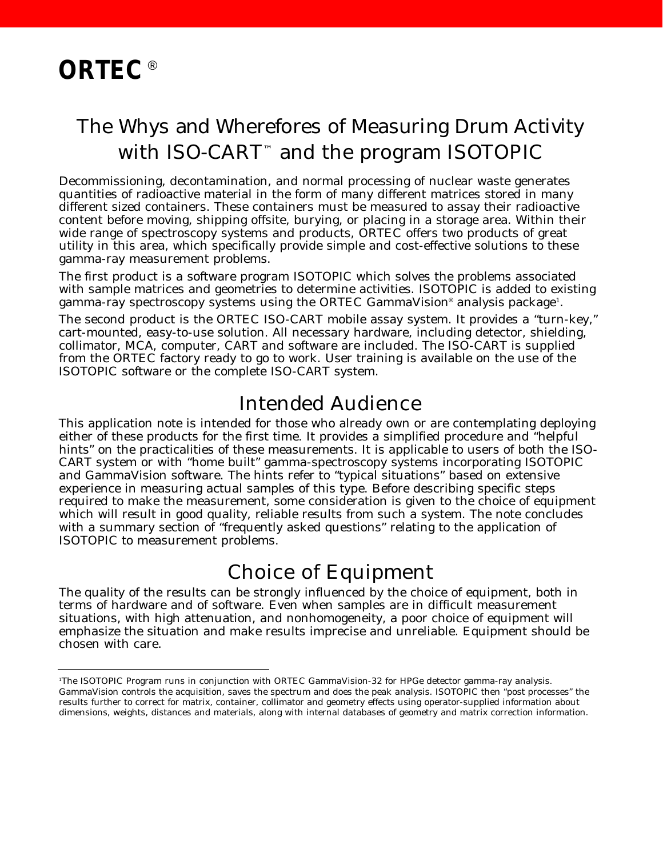# The Whys and Wherefores of Measuring Drum Activity with ISO-CART ™ and the program ISOTOPIC

Decommissioning, decontamination, and normal processing of nuclear waste generates quantities of radioactive material in the form of many different matrices stored in many different sized containers. These containers must be measured to assay their radioactive content before moving, shipping offsite, burying, or placing in a storage area. Within their wide range of spectroscopy systems and products, ORTEC offers two products of great utility in this area, which specifically provide simple and cost-effective solutions to these gamma-ray measurement problems.

The first product is a software program ISOTOPIC which solves the problems associated with sample matrices and geometries to determine activities. ISOTOPIC is added to existing gamma-ray spectroscopy systems using the ORTEC GammaVision® analysis package<sup>1</sup>.

The second product is the ORTEC ISO-CART mobile assay system. It provides a "turn-key," cart-mounted, easy-to-use solution. All necessary hardware, including detector, shielding, collimator, MCA, computer, CART and software are included. The ISO-CART is supplied from the ORTEC factory ready to go to work. User training is available on the use of the ISOTOPIC software or the complete ISO-CART system.

## Intended Audience

This application note is intended for those who already own or are contemplating deploying either of these products for the first time. It provides a simplified procedure and "helpful hints" on the practicalities of these measurements. It is applicable to users of both the ISO-CART system or with "home built" gamma-spectroscopy systems incorporating ISOTOPIC and GammaVision software. The hints refer to "typical situations" based on extensive experience in measuring actual samples of this type. Before describing specific steps required to make the measurement, some consideration is given to the choice of equipment which will result in good quality, reliable results from such a system. The note concludes with a summary section of "frequently asked questions" relating to the application of ISOTOPIC to measurement problems.

## Choice of Equipment

The quality of the results can be strongly influenced by the choice of equipment, both in terms of hardware and of software. Even when samples are in difficult measurement situations, with high attenuation, and nonhomogeneity, a poor choice of equipment will emphasize the situation and make results imprecise and unreliable. Equipment should be chosen with care.

<sup>1</sup>The ISOTOPIC Program runs in conjunction with ORTEC GammaVision-32 for HPGe detector gamma-ray analysis. GammaVision controls the acquisition, saves the spectrum and does the peak analysis. ISOTOPIC then "post processes" the results further to correct for matrix, container, collimator and geometry effects using operator-supplied information about dimensions, weights, distances and materials, along with internal databases of geometry and matrix correction information.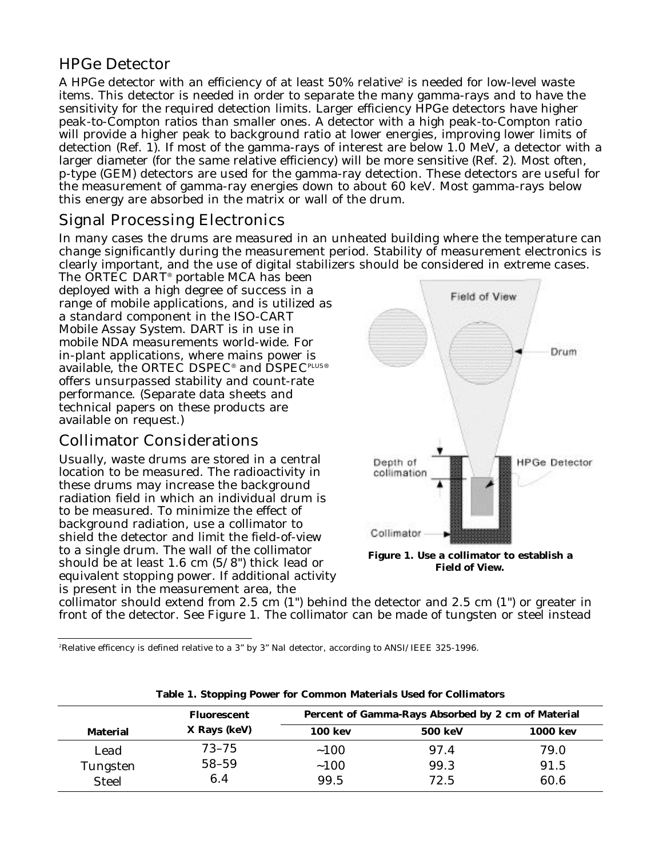### HPGe Detector

A HPGe detector with an efficiency of at least 50% relative $^{\rm z}$  is needed for low-level waste items. This detector is needed in order to separate the many gamma-rays and to have the sensitivity for the required detection limits. Larger efficiency HPGe detectors have higher peak-to-Compton ratios than smaller ones. A detector with a high peak-to-Compton ratio will provide a higher peak to background ratio at lower energies, improving lower limits of detection (Ref. 1). If most of the gamma-rays of interest are below 1.0 MeV, a detector with a larger diameter (for the same relative efficiency) will be more sensitive (Ref. 2). Most often, p-type (GEM) detectors are used for the gamma-ray detection. These detectors are useful for the measurement of gamma-ray energies down to about 60 keV. Most gamma-rays below this energy are absorbed in the matrix or wall of the drum.

### Signal Processing Electronics

In many cases the drums are measured in an unheated building where the temperature can change significantly during the measurement period. Stability of measurement electronics is clearly important, and the use of digital stabilizers should be considered in extreme cases.

The ORTEC DART ® portable MCA has been deployed with a high degree of success in a range of mobile applications, and is utilized as a standard component in the ISO-CART Mobile Assay System. DART is in use in mobile NDA measurements world-wide. For in-plant applications, where mains power is available, the ORTEC DSPEC® and DSPECPLUS® offers unsurpassed stability and count-rate performance. (Separate data sheets and technical papers on these products are available on request.)

### Collimator Considerations

Usually, waste drums are stored in a central location to be measured. The radioactivity in these drums may increase the background radiation field in which an individual drum is to be measured. To minimize the effect of background radiation, use a collimator to shield the detector and limit the field-of-view to a single drum. The wall of the collimator should be at least 1.6 cm (5/8") thick lead or equivalent stopping power. If additional activity is present in the measurement area, the



**Field of View.**

collimator should extend from 2.5 cm (1") behind the detector and 2.5 cm (1") or greater in front of the detector. See Figure 1. The collimator can be made of tungsten or steel instead

2Relative efficency is defined relative to a 3" by 3" NaI detector, according to ANSI/IEEE 325-1996.

|                                 | <b>Fluorescent</b> | Percent of Gamma-Rays Absorbed by 2 cm of Material |                |                 |  |  |  |
|---------------------------------|--------------------|----------------------------------------------------|----------------|-----------------|--|--|--|
| <b>Material</b>                 | X Rays (keV)       | <b>100 kev</b>                                     | <b>500 keV</b> | <b>1000 kev</b> |  |  |  |
| Lead                            | $73 - 75$          | ~100                                               | 97.4           | 79.0            |  |  |  |
| <b>Tungsten</b><br><b>Steel</b> | 58-59<br>6.4       | ~100<br>99.5                                       | 99.3<br>72.5   | 91.5<br>60.6    |  |  |  |

|  |  |  |  |  |  |  |  |  | Table 1. Stopping Power for Common Materials Used for Collimators |
|--|--|--|--|--|--|--|--|--|-------------------------------------------------------------------|
|--|--|--|--|--|--|--|--|--|-------------------------------------------------------------------|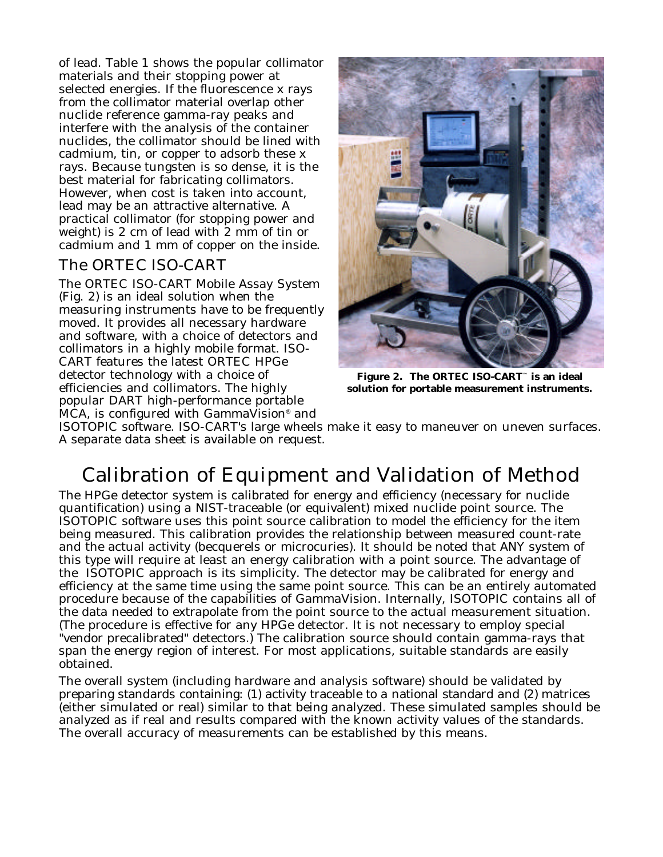of lead. Table 1 shows the popular collimator materials and their stopping power at selected energies. If the fluorescence x rays from the collimator material overlap other nuclide reference gamma-ray peaks and interfere with the analysis of the container nuclides, the collimator should be lined with cadmium, tin, or copper to adsorb these x rays. Because tungsten is so dense, it is the best material for fabricating collimators. However, when cost is taken into account, lead may be an attractive alternative. A practical collimator (for stopping power and weight) is 2 cm of lead with 2 mm of tin or cadmium and 1 mm of copper on the inside.

### The ORTEC ISO-CART

The ORTEC ISO-CART Mobile Assay System (Fig. 2) is an ideal solution when the measuring instruments have to be frequently moved. It provides all necessary hardware and software, with a choice of detectors and collimators in a highly mobile format. ISO-CART features the latest ORTEC HPGe detector technology with a choice of efficiencies and collimators. The highly popular DART high-performance portable MCA, is configured with GammaVision® and



**Figure 2. The ORTEC ISO-CART™ is an ideal solution for portable measurement instruments.**

ISOTOPIC software. ISO-CART's large wheels make it easy to maneuver on uneven surfaces. A separate data sheet is available on request.

# Calibration of Equipment and Validation of Method

The HPGe detector system is calibrated for energy and efficiency (necessary for nuclide quantification) using a NIST-traceable (or equivalent) mixed nuclide point source. The ISOTOPIC software uses this point source calibration to model the efficiency for the item being measured. This calibration provides the relationship between measured count-rate and the actual activity (becquerels or microcuries). It should be noted that ANY system of this type will require at least an energy calibration with a point source. The advantage of the ISOTOPIC approach is its simplicity. The detector may be calibrated for energy and efficiency at the same time using the same point source. This can be an entirely automated procedure because of the capabilities of GammaVision. Internally, ISOTOPIC contains all of the data needed to extrapolate from the point source to the actual measurement situation. (The procedure is effective for any HPGe detector. It is not necessary to employ special "vendor precalibrated" detectors.) The calibration source should contain gamma-rays that span the energy region of interest. For most applications, suitable standards are easily obtained.

The overall system (including hardware and analysis software) should be validated by p reparing standards containing: (1) activity traceable to a national standard and (2) matrices (either simulated or real) similar to that being analyzed. These simulated samples should be analyzed as if real and results compared with the known activity values of the standards. The overall accuracy of measurements can be established by this means.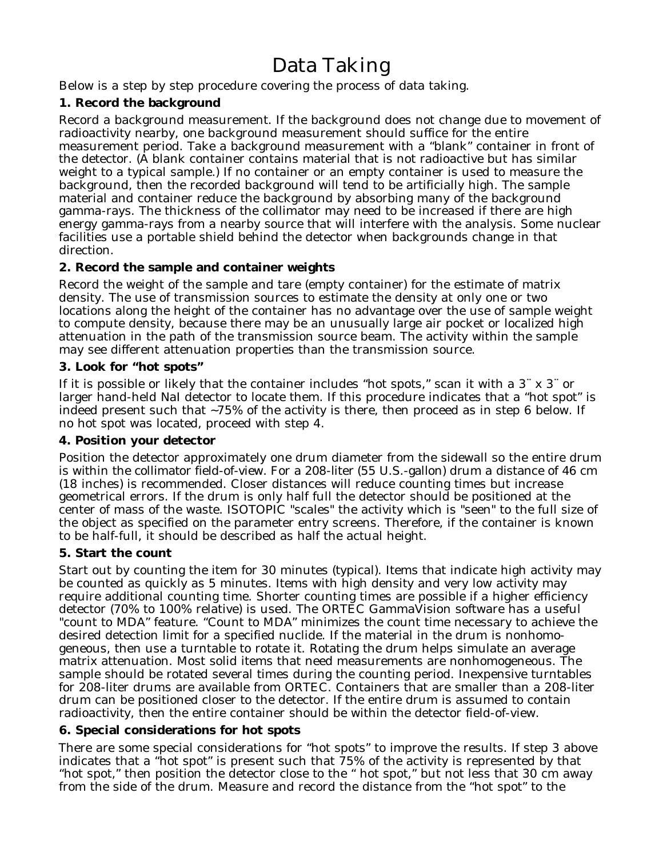# Data Taking

Below is a step by step procedure covering the process of data taking.

#### **1. Record the background**

Record a background measurement. If the background does not change due to movement of radioactivity nearby, one background measurement should suffice for the entire measurement period. Take a background measurement with a "blank" container in front of the detector. (A blank container contains material that is not radioactive but has similar weight to a typical sample.) If no container or an empty container is used to measure the background, then the recorded background will tend to be artificially high. The sample material and container reduce the background by absorbing many of the background gamma-rays. The thickness of the collimator may need to be increased if there are high energy gamma-rays from a nearby source that will interfere with the analysis. Some nuclear facilities use a portable shield behind the detector when backgrounds change in that direction.

#### **2. Record the sample and container weights**

Record the weight of the sample and tare (empty container) for the estimate of matrix density. The use of transmission sources to estimate the density at only one or two locations along the height of the container has no advantage over the use of sample weight to compute density, because there may be an unusually large air pocket or localized high attenuation in the path of the transmission source beam. The activity within the sample may see different attenuation properties than the transmission source.

#### **3. Look for "hot spots"**

If it is possible or likely that the container includes "hot spots," scan it with a 3¨ x 3¨ or larger hand-held NaI detector to locate them. If this procedure indicates that a "hot spot" is indeed present such that ~75% of the activity is there, then proceed as in step 6 below. If no hot spot was located, proceed with step 4.

#### **4. Position your detector**

Position the detector approximately one drum diameter from the sidewall so the entire drum is within the collimator field-of-view. For a 208-liter (55 U.S.-gallon) drum a distance of 46 cm (18 inches) is recommended. Closer distances will reduce counting times but increase geometrical errors. If the drum is only half full the detector should be positioned at the center of mass of the waste. ISOTOPIC "scales" the activity which is "seen" to the full size of the object as specified on the parameter entry screens. Therefore, if the container is known to be half-full, it should be described as half the actual height.

#### **5. Start the count**

Start out by counting the item for 30 minutes (typical). Items that indicate high activity may be counted as quickly as 5 minutes. Items with high density and very low activity may require additional counting time. Shorter counting times are possible if a higher efficiency detector (70% to 100% relative) is used. The ORTEC GammaVision software has a useful "count to MDA" feature. "Count to MDA" minimizes the count time necessary to achieve the desired detection limit for a specified nuclide. If the material in the drum is nonhomogeneous, then use a turntable to rotate it. Rotating the drum helps simulate an average matrix attenuation. Most solid items that need measurements are nonhomogeneous. The sample should be rotated several times during the counting period. Inexpensive turntables for 208-liter drums are available from ORTEC. Containers that are smaller than a 208-liter drum can be positioned closer to the detector. If the entire drum is assumed to contain radioactivity, then the entire container should be within the detector field-of-view.

#### **6. Special considerations for hot spots**

There are some special considerations for "hot spots" to improve the results. If step 3 above indicates that a "hot spot" is present such that 75% of the activity is represented by that "hot spot," then position the detector close to the " hot spot," but not less that 30 cm away from the side of the drum. Measure and record the distance from the "hot spot" to the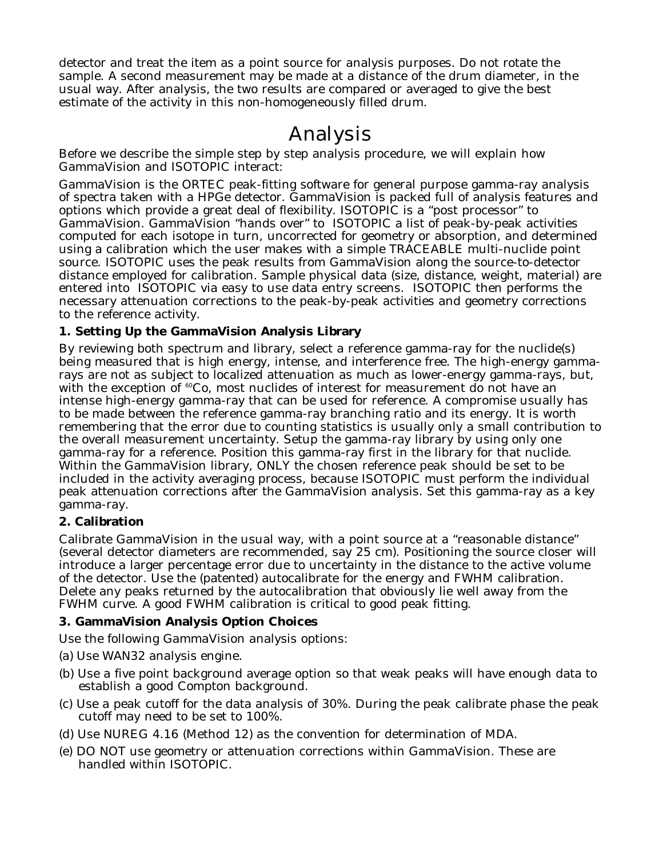detector and treat the item as a point source for analysis purposes. Do not rotate the sample. A second measurement may be made at a distance of the drum diameter, in the usual way. After analysis, the two results are compared or averaged to give the best estimate of the activity in this non-homogeneously filled drum.

## Analysis

Before we describe the simple step by step analysis procedure, we will explain how GammaVision and ISOTOPIC interact:

GammaVision is the ORTEC peak-fitting software for general purpose gamma-ray analysis of spectra taken with a HPGe detector. GammaVision is packed full of analysis features and options which provide a great deal of flexibility. ISOTOPIC is a "post processor" to GammaVision. GammaVision "hands over" to ISOTOPIC a list of peak-by-peak activities computed for each isotope in turn, uncorrected for geometry or absorption, and determined using a calibration which the user makes with a simple TRACEABLE multi-nuclide point source. ISOTOPIC uses the peak results from GammaVision along the source-to-detector distance employed for calibration. Sample physical data (size, distance, weight, material) are entered into ISOTOPIC via easy to use data entry screens. ISOTOPIC then performs the necessary attenuation corrections to the peak-by-peak activities and geometry corrections to the reference activity.

#### **1. Setting Up the GammaVision Analysis Library**

By reviewing both spectrum and library, select a reference gamma-ray for the nuclide(s) being measured that is high energy, intense, and interference free. The high-energy gammarays are not as subject to localized attenuation as much as lower-energy gamma-rays, but, with the exception of  ${}^{60}Co$ , most nuclides of interest for measurement do not have an intense high-energy gamma-ray that can be used for reference. A compromise usually has to be made between the reference gamma-ray branching ratio and its energy. It is worth remembering that the error due to counting statistics is usually only a small contribution to the overall measurement uncertainty. Setup the gamma-ray library by using only one gamma-ray for a reference. Position this gamma-ray first in the library for that nuclide. Within the GammaVision library, ONLY the chosen reference peak should be set to be included in the activity averaging process, because ISOTOPIC must perform the individual peak attenuation corrections after the GammaVision analysis. Set this gamma-ray as a key gamma-ray.

#### **2. Calibration**

Calibrate GammaVision in the usual way, with a point source at a "reasonable distance" (several detector diameters are recommended, say 25 cm). Positioning the source closer will introduce a larger percentage error due to uncertainty in the distance to the active volume of the detector. Use the (patented) autocalibrate for the energy and FWHM calibration. Delete any peaks returned by the autocalibration that obviously lie well away from the FWHM curve. A good FWHM calibration is critical to good peak fitting.

#### **3. GammaVision Analysis Option Choices**

Use the following GammaVision analysis options:

- (a) Use WAN32 analysis engine.
- (b) Use a five point background average option so that weak peaks will have enough data to establish a good Compton background.
- (c) Use a peak cutoff for the data analysis of 30%. During the peak calibrate phase the peak cutoff may need to be set to 100%.
- (d) Use NUREG 4.16 (Method 12) as the convention for determination of MDA.
- (e) DO NOT use geometry or attenuation corrections within GammaVision. These are handled within ISOTOPIC.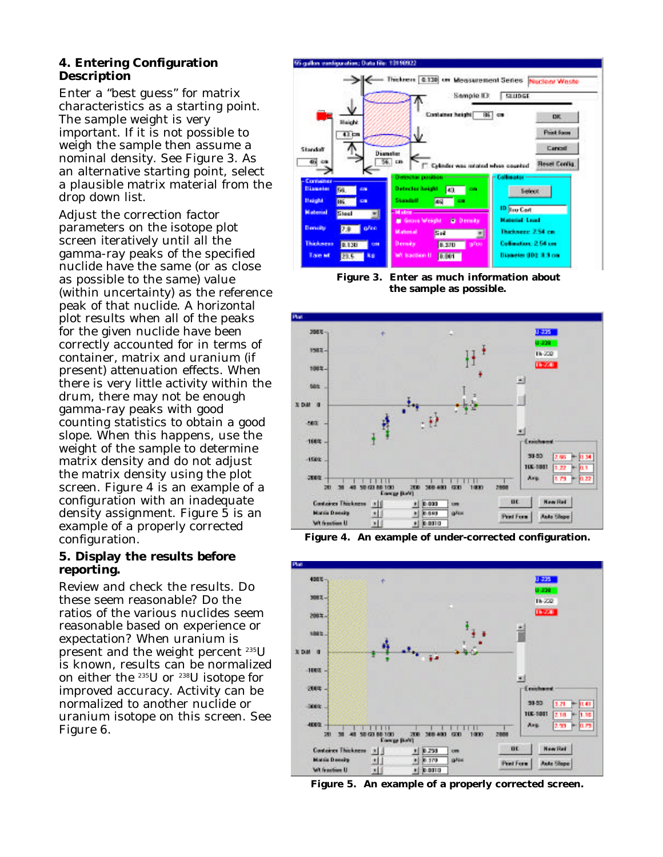#### **4. Entering Configuration Description**

Enter a "best guess" for matrix characteristics as a starting point. The sample weight is very important. If it is not possible to weigh the sample then assume a nominal density. See Figure 3. As an alternative starting point, select a plausible matrix material from the drop down list.

Adjust the correction factor parameters on the isotope plot screen iteratively until all the gamma-ray peaks of the specified nuclide have the same (or as close as possible to the same) value (within uncertainty) as the reference peak of that nuclide. A horizontal plot results when all of the peaks for the given nuclide have been correctly accounted for in terms of container, matrix and uranium (if present) attenuation effects. When there is very little activity within the drum, there may not be enough gamma-ray peaks with good counting statistics to obtain a good slope. When this happens, use the weight of the sample to determine matrix density and do not adjust the matrix density using the plot screen. Figure 4 is an example of a configuration with an inadequate density assignment. Figure 5 is an example of a properly corrected configuration.

#### **5. Display the results before reporting.**

Review and check the results. Do these seem reasonable? Do the ratios of the various nuclides seem reasonable based on experience or expectation? When uranium is present and the weight percent 235U is known, results can be normalized on either the 235U or 238U isotope for improved accuracy. Activity can be normalized to another nuclide or uranium isotope on this screen. See Figure 6.



**Figure 3. Enter as much information about the sample as possible.**



**Figure 4. An example of under-corrected configuration.**



**Figure 5. An example of a properly corrected screen.**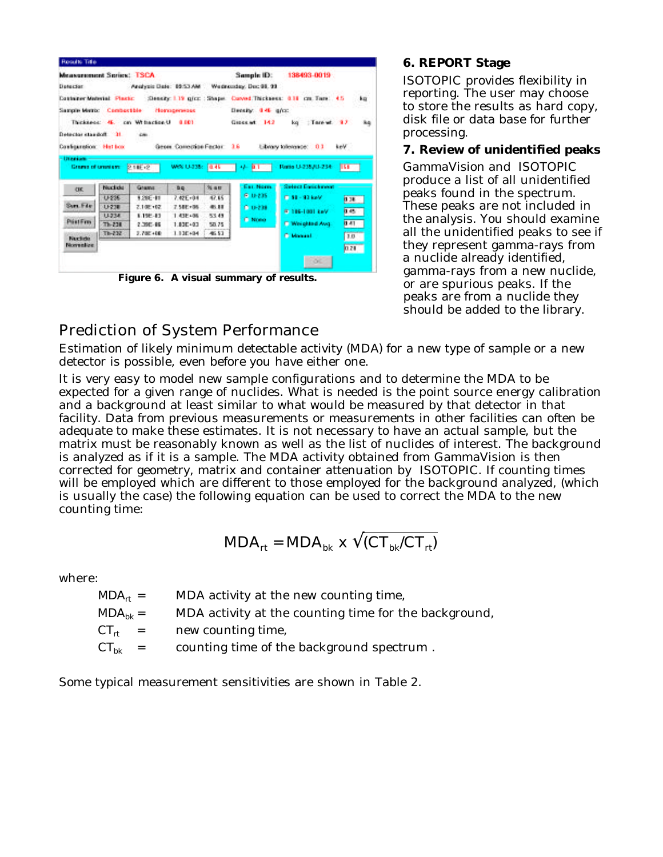| <b>Roads Title</b>                    |                                |                                     |                                    |                |                                                 |                                                                  |                                                      |
|---------------------------------------|--------------------------------|-------------------------------------|------------------------------------|----------------|-------------------------------------------------|------------------------------------------------------------------|------------------------------------------------------|
| Measurement Series: TSCA:             |                                |                                     |                                    |                | Sample ID:                                      | 138493-0019                                                      |                                                      |
| Detector                              |                                |                                     |                                    |                | Analysis Date: 89:53 AM / Wednesday, Dec 98, 99 |                                                                  |                                                      |
| <b>Container Mederial Placts:</b>     |                                |                                     |                                    |                |                                                 | :Densky: 1.19 g/cz : Shapet Curved:Thickness: 0.18 cm. Tare: 4.5 | ka                                                   |
| Sample Metric Combastible Homogeneous |                                |                                     |                                    |                | Density: 0.46 g/cz;                             |                                                                  |                                                      |
|                                       |                                | Thickness: 45. cm Writecton U 8.001 |                                    |                | Generat 142                                     | kg Tare at 17                                                    | ha                                                   |
| Detector standoff. 31                 |                                | down.                               |                                    |                |                                                 |                                                                  |                                                      |
|                                       |                                |                                     |                                    |                |                                                 |                                                                  |                                                      |
| Configuration: Het Lox                |                                |                                     | Gener Correction Factor 16         |                |                                                 | Library tolerance: 0.1                                           | keV                                                  |
|                                       | Gramma of Greenland<br>Nuclide | 2.186.2<br><b>Grams</b>             | We's U-238: [0.45 [1]<br><b>BB</b> | Nam            | Al- 0.1 (1)<br>Exc. Norm.                       | Ratio U-235/0-234<br><b>Select Englishment</b>                   | <b>155 - 155 - 155 - 155 - 155 - 155 - 155 - 155</b> |
| CIK.                                  |                                |                                     |                                    |                |                                                 |                                                                  |                                                      |
|                                       |                                |                                     |                                    |                |                                                 |                                                                  |                                                      |
|                                       | U-236                          | 1205-11                             | $7.42E + 0.0$                      | 47.65          | <b>C.U-235</b>                                  | FT 53 - 93 kpV                                                   | 138                                                  |
| Sam Fde                               | U-238                          | 2.108.402                           | 7.58E+06                           | 45.88          | 0.0-239                                         | Wallen-Holland                                                   | 1.45                                                 |
| PostFrm                               | U-234                          | 1.198-13                            | 1.438.496                          | 53.49          | <b>C. Nono</b>                                  |                                                                  |                                                      |
|                                       | $71 - 228$<br>$Tb - 232$       | 2,396-89<br>2.780.400               | 1.830+03<br>$1.13E + 34$           | 50.75<br>45.53 |                                                 | <b>C. Weighted Avg.</b>                                          | 0.41                                                 |
| <b>Nuclide</b><br>Norrentien          |                                |                                     |                                    |                |                                                 | <b>C. Massell</b>                                                | 1.0<br>0.28                                          |

**Figure 6. A visual summary of results.**

#### **6. REPORT Stage**

ISOTOPIC provides flexibility in reporting. The user may choose to store the results as hard copy, disk file or data base for further processing.

#### **7. Review of unidentified peaks**

GammaVision and ISOTOPIC produce a list of all unidentified peaks found in the spectrum. These peaks are not included in the analysis. You should examine all the unidentified peaks to see if they represent gamma-rays from a nuclide already identified, gamma-rays from a new nuclide, or are spurious peaks. If the peaks are from a nuclide they should be added to the library.

### Prediction of System Performance

Estimation of likely minimum detectable activity (MDA) for a new type of sample or a new detector is possible, even before you have either one.

It is very easy to model new sample configurations and to determine the MDA to be expected for a given range of nuclides. What is needed is the point source energy calibration and a background at least similar to what would be measured by that detector in that facility. Data from previous measurements or measurements in other facilities can often be adequate to make these estimates. It is not necessary to have an actual sample, but the matrix must be reasonably known as well as the list of nuclides of interest. The background is analyzed as if it is a sample. The MDA activity obtained from GammaVision is then corrected for geometry, matrix and container attenuation by ISOTOPIC. If counting times will be employed which are different to those employed for the background analyzed, (which is usually the case) the following equation can be used to correct the MDA to the new counting time:

$$
MDA_{rt} = MDA_{bk} \times \overline{(CT_{bk}/CT_{rt})}
$$

where:

| $MDA_{rt}$ = | MDA activity at the new counting time,                |
|--------------|-------------------------------------------------------|
| $MDA_{hk} =$ | MDA activity at the counting time for the background, |
| $CT_{rt}$ =  | new counting time,                                    |
| $CT_{bk}$ =  | counting time of the background spectrum.             |

Some typical measurement sensitivities are shown in Table 2.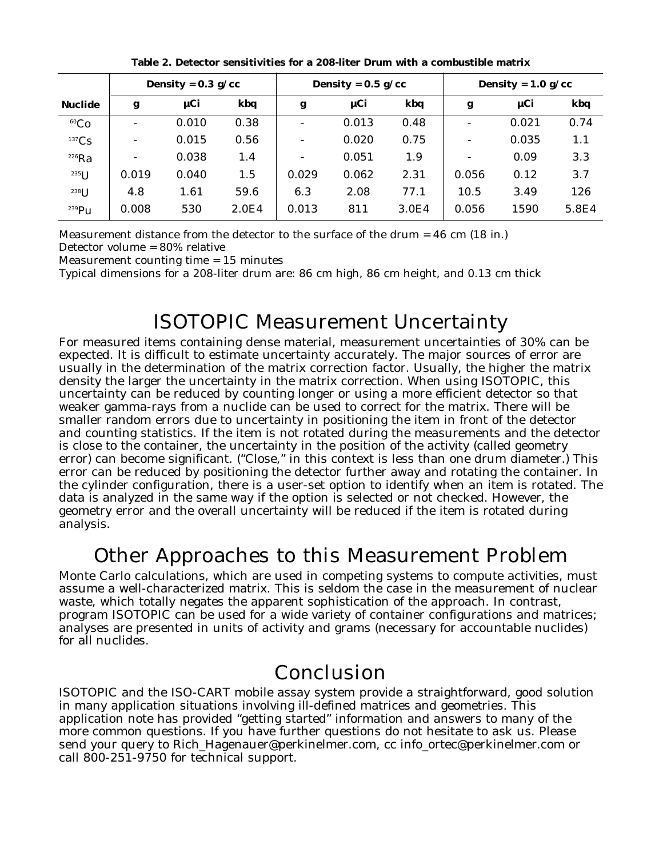|                |                          | Density = $0.3$ g/cc |       | Density = $0.5$ g/cc |       |       | Density = $1.0 g/cc$     |       |       |
|----------------|--------------------------|----------------------|-------|----------------------|-------|-------|--------------------------|-------|-------|
| <b>Nuclide</b> | g                        | $\mu$ Ci             | kbq   | g                    | µCi   | kbq   | g                        | µCi   | kbq   |
| ${}^{60}Co$    | $\overline{\phantom{0}}$ | 0.010                | 0.38  | ۰                    | 0.013 | 0.48  | $\overline{\phantom{a}}$ | 0.021 | 0.74  |
| 137Cs          |                          | 0.015                | 0.56  | ۰                    | 0.020 | 0.75  | $\overline{\phantom{a}}$ | 0.035 | 1.1   |
| $226$ Ra       |                          | 0.038                | 1.4   | ۰                    | 0.051 | 1.9   | $\overline{\phantom{a}}$ | 0.09  | 3.3   |
| $^{235}$ U     | 0.019                    | 0.040                | 1.5   | 0.029                | 0.062 | 2.31  | 0.056                    | 0.12  | 3.7   |
| $238$ U        | 4.8                      | 1.61                 | 59.6  | 6.3                  | 2.08  | 77.1  | 10.5                     | 3.49  | 126   |
| $239$ Pu       | 0.008                    | 530                  | 2.0E4 | 0.013                | 811   | 3.0E4 | 0.056                    | 1590  | 5.8E4 |

**Table 2. Detector sensitivities for a 208-liter Drum with a combustible matrix**

Measurement distance from the detector to the surface of the drum = 46 cm (18 in.) Detector volume = 80% relative

Measurement counting time = 15 minutes

Typical dimensions for a 208-liter drum are: 86 cm high, 86 cm height, and 0.13 cm thick

## ISOTOPIC Measurement Uncertainty

For measured items containing dense material, measurement uncertainties of 30% can be expected. It is difficult to estimate uncertainty accurately. The major sources of error are usually in the determination of the matrix correction factor. Usually, the higher the matrix density the larger the uncertainty in the matrix correction. When using ISOTOPIC, this uncertainty can be reduced by counting longer or using a more efficient detector so that weaker gamma-rays from a nuclide can be used to correct for the matrix. There will be smaller random errors due to uncertainty in positioning the item in front of the detector and counting statistics. If the item is not rotated during the measurements and the detector is close to the container, the uncertainty in the position of the activity (called geometry error) can become significant. ("Close," in this context is less than one drum diameter.) This error can be reduced by positioning the detector further away and rotating the container. In the cylinder configuration, there is a user-set option to identify when an item is rotated. The data is analyzed in the same way if the option is selected or not checked. However, the geometry error and the overall uncertainty will be reduced if the item is rotated during analysis.

## Other Approaches to this Measurement Problem

Monte Carlo calculations, which are used in competing systems to compute activities, must assume a well-characterized matrix. This is seldom the case in the measurement of nuclear waste, which totally negates the apparent sophistication of the approach. In contrast, program ISOTOPIC can be used for a wide variety of container configurations and matrices; analyses are presented in units of activity and grams (necessary for accountable nuclides) for all nuclides.

### Conclusion

ISOTOPIC and the ISO-CART mobile assay system provide a straightforward, good solution in many application situations involving ill-defined matrices and geometries. This application note has provided "getting started" information and answers to many of the more common questions. If you have further questions do not hesitate to ask us. Please send your query to Rich\_Hagenauer@perkinelmer.com, cc info\_ortec@perkinelmer.com or call 800-251-9750 for technical support.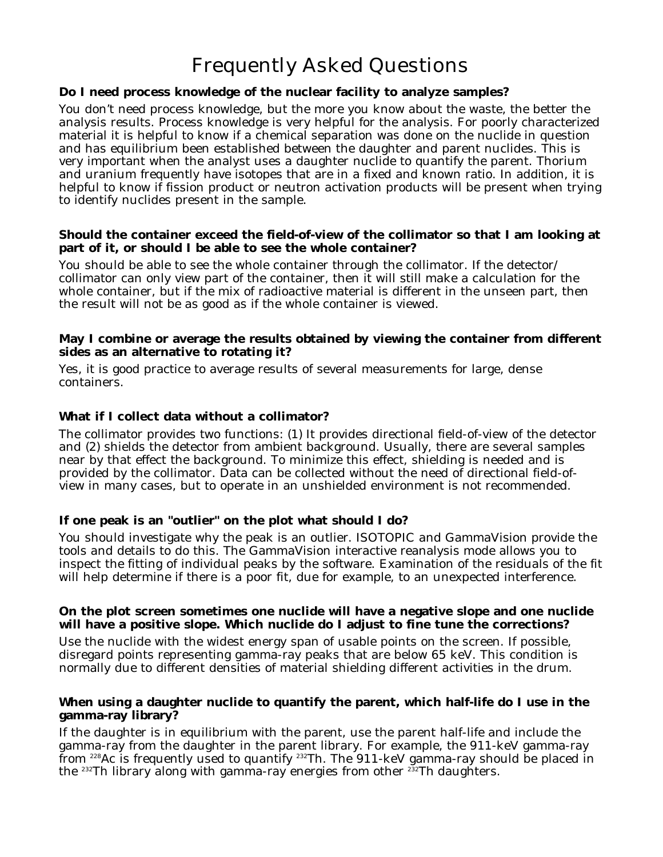# Frequently Asked Questions

#### **Do I need process knowledge of the nuclear facility to analyze samples?**

You don't need process knowledge, but the more you know about the waste, the better the analysis results. Process knowledge is very helpful for the analysis. For poorly characterized material it is helpful to know if a chemical separation was done on the nuclide in question and has equilibrium been established between the daughter and parent nuclides. This is very important when the analyst uses a daughter nuclide to quantify the parent. Thorium and uranium frequently have isotopes that are in a fixed and known ratio. In addition, it is helpful to know if fission product or neutron activation products will be present when trying to identify nuclides present in the sample.

#### **Should the container exceed the field-of-view of the collimator so that I am looking at part of it, or should I be able to see the whole container?**

You should be able to see the whole container through the collimator. If the detector/ collimator can only view part of the container, then it will still make a calculation for the whole container, but if the mix of radioactive material is different in the unseen part, then the result will not be as good as if the whole container is viewed.

#### **May I combine or average the results obtained by viewing the container from different sides as an alternative to rotating it?**

Yes, it is good practice to average results of several measurements for large, dense containers.

#### **What if I collect data without a collimator?**

The collimator provides two functions: (1) It provides directional field-of-view of the detector and (2) shields the detector from ambient background. Usually, there are several samples near by that effect the background. To minimize this effect, shielding is needed and is provided by the collimator. Data can be collected without the need of directional field-ofview in many cases, but to operate in an unshielded environment is not recommended.

#### **If one peak is an "outlier" on the plot what should I do?**

You should investigate why the peak is an outlier. ISOTOPIC and GammaVision provide the tools and details to do this. The GammaVision interactive reanalysis mode allows you to inspect the fitting of individual peaks by the software. Examination of the residuals of the fit will help determine if there is a poor fit, due for example, to an unexpected interference.

#### **On the plot screen sometimes one nuclide will have a negative slope and one nuclide will have a positive slope. Which nuclide do I adjust to fine tune the corrections?**

Use the nuclide with the widest energy span of usable points on the screen. If possible, disregard points representing gamma-ray peaks that are below 65 keV. This condition is normally due to different densities of material shielding different activities in the drum.

#### **When using a daughter nuclide to quantify the parent, which half-life do I use in the gamma-ray library?**

If the daughter is in equilibrium with the parent, use the parent half-life and include the gamma-ray from the daughter in the parent library. For example, the 911-keV gamma-ray from <sup>228</sup>Ac is frequently used to quantify <sup>232</sup>Th. The 911-keV gamma-ray should be placed in the  $232$ Th library along with gamma-ray energies from other  $232$ Th daughters.